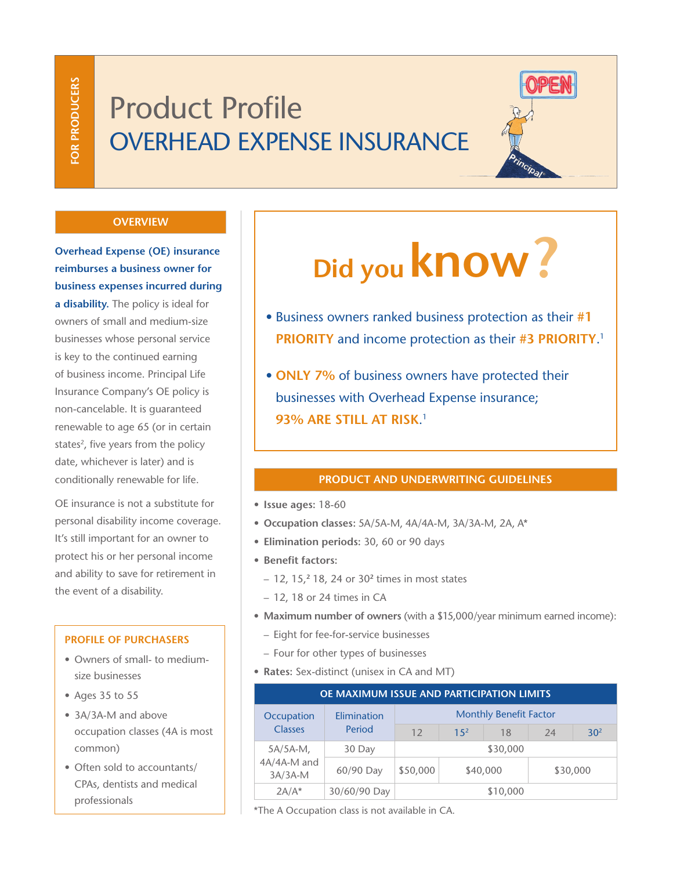# Product Profile OVERHEAD EXPENSE INSURANCE



#### **OVERVIEW**

**Overhead Expense (OE) insurance reimburses a business owner for business expenses incurred during a disability.** The policy is ideal for owners of small and medium-size businesses whose personal service is key to the continued earning of business income. Principal Life Insurance Company's OE policy is non-cancelable. It is guaranteed renewable to age 65 (or in certain states<sup>2</sup>, five years from the policy date, whichever is later) and is conditionally renewable for life.

OE insurance is not a substitute for personal disability income coverage. It's still important for an owner to protect his or her personal income and ability to save for retirement in the event of a disability.

#### **PROFILE OF PURCHASERS**

- Owners of small- to mediumsize businesses
- Ages 35 to 55
- 3A/3A-M and above occupation classes (4A is most common)
- Often sold to accountants/ CPAs, dentists and medical professionals

# **Did you know?**

- Business owners ranked business protection as their **#1 PRIORITY** and income protection as their **#3 PRIORITY**. 1
- **ONLY 7%** of business owners have protected their businesses with Overhead Expense insurance; **93% ARE STILL AT RISK**. 1

# **PRODUCT AND UNDERWRITING GUIDELINES**

- **Issue ages:** 18-60
- **Occupation classes:** 5A/5A-M, 4A/4A-M, 3A/3A-M, 2A, A\*
- **Elimination periods:** 30, 60 or 90 days
- **Benefit factors:**
	- 12, 15,**<sup>2</sup>** 18, 24 or 30**<sup>2</sup>** times in most states
	- 12, 18 or 24 times in CA
- **Maximum number of owners** (with a \$15,000/year minimum earned income):
	- Eight for fee-for-service businesses
	- Four for other types of businesses
- **Rates:** Sex-distinct (unisex in CA and MT)

| OE MAXIMUM ISSUE AND PARTICIPATION LIMITS |                       |                               |                 |    |          |                 |
|-------------------------------------------|-----------------------|-------------------------------|-----------------|----|----------|-----------------|
| Occupation<br><b>Classes</b>              | Elimination<br>Period | <b>Monthly Benefit Factor</b> |                 |    |          |                 |
|                                           |                       | 12                            | 15 <sup>2</sup> | 18 | 24       | 30 <sup>2</sup> |
| $5A/5A-M$ ,<br>4A/4A-M and<br>$3A/3A-M$   | 30 Day                | \$30,000                      |                 |    |          |                 |
|                                           | 60/90 Day             | \$50,000                      | \$40,000        |    | \$30,000 |                 |
| $2A/A*$                                   | 30/60/90 Day          | \$10,000                      |                 |    |          |                 |

\*The A Occupation class is not available in CA.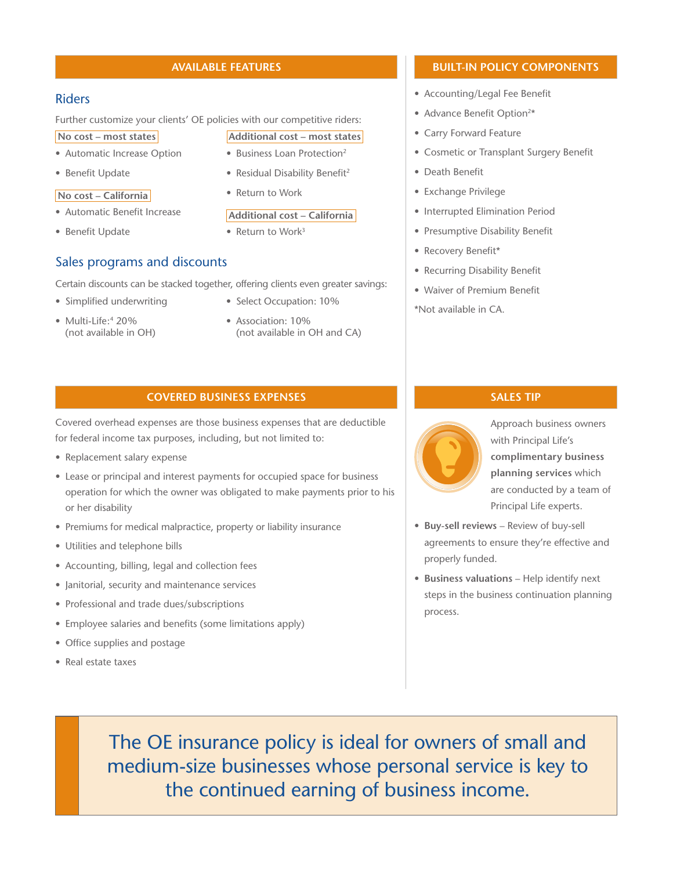#### **AVAILABLE FEATURES**

#### Riders

Further customize your clients' OE policies with our competitive riders:

**No cost – most states**

- Automatic Increase Option
- Benefit Update

#### **No cost – California**

- Automatic Benefit Increase
- Benefit Update

# Sales programs and discounts

Certain discounts can be stacked together, offering clients even greater savings:

- Simplified underwriting
- Multi-Life:<sup>4</sup> 20% (not available in OH)
- Select Occupation: 10%

**Additional cost – most states** • Business Loan Protection2 • Residual Disability Benefit<sup>2</sup>

**Additional cost – California**

• Return to Work

• Return to Work<sup>3</sup>

• Association: 10% (not available in OH and CA)

# **BUILT-IN POLICY COMPONENTS**

- Accounting/Legal Fee Benefit
- Advance Benefit Option<sup>2\*</sup>
- Carry Forward Feature
- Cosmetic or Transplant Surgery Benefit
- Death Benefit
- Exchange Privilege
- Interrupted Elimination Period
- Presumptive Disability Benefit
- Recovery Benefit\*
- Recurring Disability Benefit
- Waiver of Premium Benefit

\*Not available in CA.

#### **COVERED BUSINESS EXPENSES**

Covered overhead expenses are those business expenses that are deductible for federal income tax purposes, including, but not limited to:

- Replacement salary expense
- Lease or principal and interest payments for occupied space for business operation for which the owner was obligated to make payments prior to his or her disability
- Premiums for medical malpractice, property or liability insurance
- Utilities and telephone bills
- Accounting, billing, legal and collection fees
- Janitorial, security and maintenance services
- Professional and trade dues/subscriptions
- Employee salaries and benefits (some limitations apply)
- Office supplies and postage
- Real estate taxes

# **SALES TIP**



Approach business owners with Principal Life's **complimentary business planning services** which are conducted by a team of Principal Life experts.

- **Buy-sell reviews**  Review of buy-sell agreements to ensure they're effective and properly funded.
- **Business valuations**  Help identify next steps in the business continuation planning process.

The OE insurance policy is ideal for owners of small and medium-size businesses whose personal service is key to the continued earning of business income.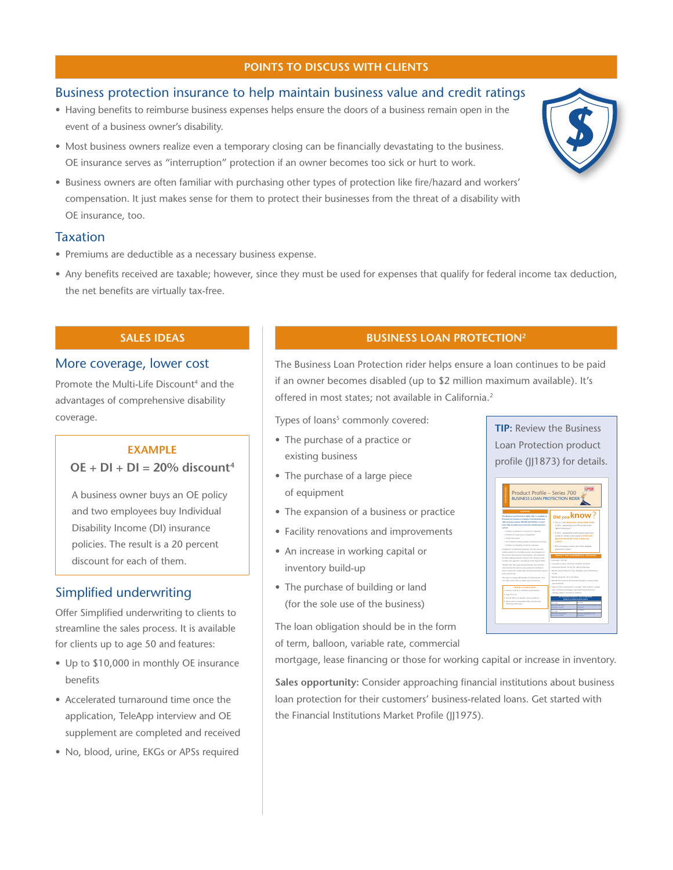#### **POINTS TO DISCUSS WITH CLIENTS**

# Business protection insurance to help maintain business value and credit ratings

- Having benefits to reimburse business expenses helps ensure the doors of a business remain open in the event of a business owner's disability.
- Most business owners realize even a temporary closing can be financially devastating to the business. OE insurance serves as "interruption" protection if an owner becomes too sick or hurt to work.
- Business owners are often familiar with purchasing other types of protection like fire/hazard and workers' compensation. It just makes sense for them to protect their businesses from the threat of a disability with OE insurance, too.

#### Taxation

- Premiums are deductible as a necessary business expense.
- Any benefits received are taxable; however, since they must be used for expenses that qualify for federal income tax deduction, the net benefits are virtually tax-free.

#### **SALES IDEAS**

#### More coverage, lower cost

Promote the Multi-Life Discount<sup>4</sup> and the advantages of comprehensive disability coverage.

#### **EXAMPLE**

# $OE + DI + DI = 20%$  discount<sup>4</sup>

A business owner buys an OE policy and two employees buy Individual Disability Income (DI) insurance policies. The result is a 20 percent discount for each of them.

#### Simplified underwriting

Offer Simplified underwriting to clients to streamline the sales process. It is available for clients up to age 50 and features:

- Up to \$10,000 in monthly OE insurance benefits
- Accelerated turnaround time once the application, TeleApp interview and OE supplement are completed and received
- No, blood, urine, EKGs or APSs required

## **BUSINESS LOAN PROTECTION2**

The Business Loan Protection rider helps ensure a loan continues to be paid if an owner becomes disabled (up to \$2 million maximum available). It's offered in most states; not available in California.<sup>2</sup>

Types of loans<sup>5</sup> commonly covered:

- The purchase of a practice or existing business
- The purchase of a large piece of equipment
- The expansion of a business or practice
- Facility renovations and improvements
- An increase in working capital or inventory build-up
- The purchase of building or land (for the sole use of the business)

The loan obligation should be in the form of term, balloon, variable rate, commercial

mortgage, lease financing or those for working capital or increase in inventory.

**Sales opportunity:** Consider approaching financial institutions about business loan protection for their customers' business-related loans. Get started with the Financial Institutions Market Profile (JJ1975).

**TIP:** Review the Business Loan Protection product profile (JJ1873) for details.